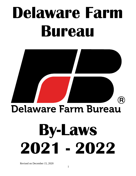# **Delaware Farm Bureau**



### **Delaware Farm Bureau**

# **By-Laws 2021 - 2022**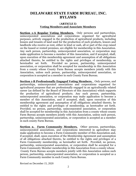### **DELAWARE STATE FARM BUREAU, INC. BYLAWS**

#### (**ARTICLE I) Voting Members and Associate Members**

**Section 1-A Regular Voting Members.** Only persons and partnerships, unincorporated associations and corporations organized for agricultural purposes, actively engaged in the production of agricultural products, including lessees and tenants of land used for the production of such products, lessors and landlords who receive as rent, either in kind or cash, all or part of the crop raised on the leased or rented premises, are eligible for membership in this Association. Any such person, partnership, unincorporated association, or corporation may make application to become a member of this Association, and if accepted, shall, upon execution of this membership agreement and assumption of all obligations attached thereto, be entitled to the rights and privileges of membership, as hereinafter set forth. Provided no person, partnership, unincorporated association, or corporation shall be accepted for membership in this Association from a county whose County Farm Bureau accepts members jointly with this Association, unless such person, partnership, unincorporated association, or corporation is accepted as a member in such County Farm Bureau.

**Section 1-B Professionally Engaged Voting Members.** Only persons, and partnerships, unincorporated associations and corporations organized for agricultural purposes that are professionally engaged in an agriculturally related career (as defined by the Board of Directors of this Association) which supports the production of agricultural products. Any such person, partnership, unincorporated association, or corporation may make application to become a member of this Association, and if accepted, shall, upon execution of this membership agreement and assumption of all obligations attached thereto, be entitled to the rights and privileges of membership, as heretoafter set forth. Provided, no person, partnership, unincorporated association, or corporation shall be accepted for membership in this Association from a county whose county Farm Bureau accepts members jointly with this Association, unless such person, partnership, unincorporated association, or corporation is accepted as a member in such county Farm Bureau.

**Section 2. Farm Community Members.** Other persons, partnerships, unincorporated associations, and corporations interested in agriculture may make application to become a Farm Community member of this Association and, if accepted, shall, upon execution of the Membership Agreement and assumption of all obligations attached thereto, be entitled to the rights and privileges of a Farm Community membership, as hereinafter set forth. Provided, no person, partnership, unincorporated association, or corporation shall be accepted for a Farm Community Member membership in this Association from a county whose County Farm Bureau accepts members jointly with this Association unless such person, partnership, unincorporated association, or corporation is accepted as a Farm Community member in such County Farm Bureau.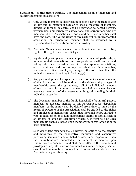**Section 3. Membership Rights.** The membership rights of members and associate members are as follows:

- (a) Only voting members as described in Section 1 have the right to vote on any and all matters at regular or special meetings of members, directly or through delegates, shall be restricted to named persons, partnerships, unincorporated associations, and corporations who are members of this Association in good standing. Each member shall have one vote. The voting rights of any partnership, unincorporated association, or corporation member shall be exercised by a representative thereof duly authorized in writing.
- (b) Associate Members as described in Section 2 shall have no voting rights or the right to serve as a Delegate.
- (c) Rights and privileges of membership in the case of partnerships, unincorporated associations, and corporations shall accrue and belong only to such named partnerships, unincorporated associations, or corporations, and not to any individual who is a member, shareholder, officer, employee, or agent thereof, other than the individuals named in writing in Section 3(a).
- (d) Any partnership or unincorporated association not a named member of this Association shall be entitled to the rights and privileges of membership, except the right to vote, if all of the individual members of such partnership or unincorporated association are members or associate members of this Association in good standing in their individual capacities.
- (e) The dependent member of the family household of a natural person, member, or associate member of this Association, as "dependent members" of the family may be defined from time to time by the Board of Directors of this Association, shall be entitled to the rights and privileges of membership, except that they shall not be entitled to vote, to hold office, or to hold membership shares of capital stock in an affiliate or associate corporation where such right to hold such membership shares is based upon membership in this Association in good standing.

Such dependent members shall, however, be entitled to the benefits and privileges of the cooperative marketing and cooperative purchasing services of any affiliated or associated corporation when the transactions are conducted in the name of the member upon whom they are dependent and shall be entitled to the benefits and privileges of any affiliated or associated insurance company service except such as may be expressly limited to named members of this Association in good standing.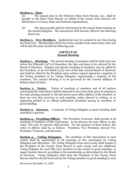#### **Section 4. Dues**

(a) The annual dues in the Delaware State Farm Bureau, Inc., shall be payable to the State Farm Bureau on behalf of the county farm bureau's for distribution to County, State and National organizations.

(b) The dues payable shall be determined at the annual State meeting by the elected delegates. The assessment shall become effective the following fiscal year.

**Section 5. New Members.** Applications may be accepted at any time during the fiscal year. Membership will be for twelve months from anniversary date and will be due the same month the following year.

#### **(ARTICLE II) Annual Meeting**

**Section 1. Meetings.** The annual meeting of members shall be held each year before the Fifteenth (15th) of December, the date and place to be selected by the Board of Directors. Regular and special meetings of members may be called by the President, or by two-thirds (2/3) vote of the duly elected Board of Directors and shall be called by the President upon written request signed by a majority of the Voting members or by Voting Delegates representing a majority of the members. The Annual Meeting is to be governed by the current addition of Roberts Rule of Order.

**Section 2. Notice.** Notice of meetings of members and of all matters concerning this Association shall be deemed to have been duly given by placing in the mail, postage prepaid, to the last known post office address of the member, at least ten (10) days previous to such meeting, notice thereof in writing, or as appearing printed in an official publication circulated among its members in good standing.

**Section 3. Quorum.** A majority of Voting Delegates in good standing shall constitute a quorum.

**Section 4. Presiding Officer.** The President, if present, shall preside at all meetings of members of this Association. In his absence the next officer, in due order, who may be present shall preside. For the purpose of these bylaws, the order of officers shall be as follows: President, Vice President, Second Vice President, Treasurer, and Secretary.

**<u>Section 5. Voting Delegates.</u>** The members of this Association in each county shall be represented in all meetings of this Association by Voting Delegates and Alternates. The Voting Delegates from each county shall consist of the President of the County Farm Bureau in such county and one additional Voting Delegate for each fifty (50) members in the county in good standing, or major fraction thereof, according to the membership as determined by the Board of Directors. Voting Delegates other than the President of the County Farm Bureau shall be elected from and by the Voting members in good standing in such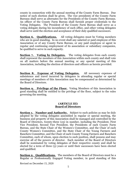county in connection with the annual meeting of the County Farm Bureau. Due notice of such election shall be given. The vice presidents of the County Farm Bureaus shall serve as alternates for the Presidents of the County Farm Bureaus. An officer of the County Farm Bureau shall furnish proper credentials to the Voting Delegates. The President of the County Farm Bureau shall serve as a voting delegate during his incumbency of such office, and other voting delegates shall serve until the election and acceptance of their duly qualified successors.

**Section 6. Qualifications.** All voting delegates must be Voting members who are in good standing. In no event shall any salaried or paid employee of this Association or of any County Farm Bureau, or any paid employee or agent in regular and continuing employment of its association or subsidiary companies, be qualified to serve in such capacity.

**<u>Section 7.** Voting by Delegates.</u> The voting delegates from each county shall represent the members of this Association within such county and shall vote on all matters before the annual meeting or any special meeting of this Association, including the election of directors and officers as herein provided.

**Section 8. Expense of Voting Delegates.** All necessary expenses of subsistence and travel incurred by delegates in attending regular or special meetings of members of this Association may be compensated as determined by the Board of Directors.

**Section 9. Privilege of the Floor.** Voting Members of this Association in good standing shall be entitled to the privilege of the floor, subject to the rules governing the meeting.

#### **(ARTICLE III) Board of Directors**

**Section 1. Number and Authority.** Subject to such policies as may be duly adopted by the voting delegates assembled in regular or special meeting, the business and property of this Association shall be managed and controlled by the Board of Directors, twenty-three (23) in number, including the President, First Vice President, Second Vice President, the Presidents of each County Farm Bureau, and the State Chair of the Women's Committee, and the Chair of each County Women's Committee, and the State Chair of the Young Farmers and Ranchers Committee, and the Chair of each County Young Farmers and Ranchers Committee, each of whom, upon election to such position, shall possess and may exercise all of the powers of director. Each member of the Board of Directors shall be nominated by voting delegates of their respective county and shall be elected for a term of three (3) years or until their successors have been elected and qualified.

**Section 2. Qualifications.** The members of the Board of Directors must be a Regular or Professionally Engaged Voting member, in good standing of this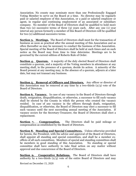Association. No county may nominate more than one Professionally Engaged Voting Member to serve on the Board at a time. No director may be regularly paid or salaried employee of this Association, or a paid or salaried employee or agent, in regular and continuing employment of an associated or subsidiary company. No member of the Board of Directors shall be qualified to hold more than two (2) successive terms of three (3) years each. After any one (1) year interval any person formerly a member of this Board of Directors will be qualified for two (2) additional successive terms.

**Section 3. Meetings.** The Board of Directors shall meet for the transaction of business as soon as practical after the annual meeting of this Association and as often thereafter as may be necessary to conduct the business of this Association. Special meeting of the Board of Directors shall be held at such times and on such notice as the Board may from time to time determine. Meetings are to be governed by the current edition of Roberts Rule of Order.

**Section 4. Quorum.** A majority of the duly elected Board of Directors shall constitute a quorum, and a majority of the Voting members in attendance at any meeting shall, in the presence of a quorum, decide its action. A minority of the Board present at any meeting may, in the absence of a quorum, adjourn at a later date, but may not transact any business.

**Section 5. Removal of Officers and Directors.** Any officer or director of this Association may be removed at any time by a two-thirds (2/3) vote of the Board of Directors.

**Section 6. Vacancy.** In case of any vacancy in the Board of Directors through death, resignation, disqualification, or otherwise, a successor to fill such vacancy shall be elected by the County in which the person who created the vacancy resided. In case of any vacancy in the officers through death, resignation, disqualification, or otherwise, the Board of Directors may elect a successor to fill such vacancy until the next succeeding annual meeting of the Association. If vacancy occurs for the Secretary-Treasurer, the Board of Directors shall elect a replacement.

**Section 7. Compensation.** The Directors shall be paid mileage or compensation as established by the Board of Directors.

**Section 8. Standing and Special Committees.** Unless otherwise provided for herein, the President, with the advice and approval of the Board of Directors, shall appoint all standing and special committees, and shall be a member exofficio of all such committees. Members of special and standing committees shall be members in good standing of this Association. No standing or special committee shall have authority to take final action on any matter without approval and due concurrence of the Board of Directors.

**Section 9. Cooperative Relations.** The Board of Directors shall have authority by a two-thirds  $(2/3)$  vote of the entire Board of Directors and may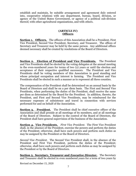establish and maintain, by suitable arrangement and agreement duly entered into, cooperative relations with any department, bureau, board, division, or agency of the United States Government, or agency of a political sub-division thereof, with other agricultural organizations, and with others.

#### **(ARTICLE IV) Officers**

**Section 1. Officers.** The officers of this Association shall be a President, First Vice President, Second Vice President, Secretary, and Treasurer. The offices of Secretary and Treasurer may be held by the same person. Any additional offices deemed necessary shall be created by resolutions of the Board of Directors.

**Section 2. Election of President and Vice Presidents.** The President and Vice Presidents shall be elected by the voting delegates at the annual meeting in the even-numbered years for terms of two (2) years or until the election and acceptance of their respective qualified successors. The President and Vice Presidents shall be voting members of this Association in good standing and whose principal occupation and interest is farming. The President and Vice Presidents shall be elected in such a manner as to represent all three counties.

The compensation of the President shall be determined on an annual basis by the Board of Directors and shall be on a per diem basis. The First and Second Vice Presidents, when performing the duties of the President, shall receive the same per diem as determined by the Board for the President. In addition, thereto, the President, and First and Second Vice Presidents, may be reimbursed for the necessary expenses of subsistence and travel in connection with services performed for and on behalf of the Association.

**Section 3. President.** The President shall be chief executive officer of the Association and shall preside at all meetings of its members, and at all meetings of the Board of Directors. Subject to the control of the Board of Directors, the President shall have general supervision of the business of the Association.

**Section 4. Vice Presidents.** *First Vice President*. The First Vice President shall, in the absence of the President, exercise the powers and perform the duties of the President; otherwise, shall have such powers and perform such duties as may be assigned by the President or the Board of Directors.

*Second Vice President*. The Second Vice President shall, in the absence of the President and First Vice President, perform the duties of the President; otherwise, shall have such powers and perform such duties as may be assigned by the President or by the Board of Directors.

**Section 5. Secretary, Treasurer and** *Executive Director***.** The Secretary and Treasurer shall be elected in even numbered years for a term of two years by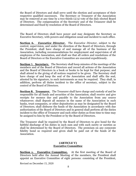the Board of Directors and shall serve until the election and acceptance of their respective qualified successors. The Secretary or Treasurer of the Association may be removed at any time by a two-thirds (2/3) vote of the duly elected Board of Directors. The compensation of the Secretary and of the Treasurer shall be determined and fixed by resolution of the Board of Directors.

The Board of Directors shall have power and may designate the Secretary as Executive Secretary, with powers and obligation usual and incident to such office.

**Section 6.** *Executive Director***.** The *Executive Director*, subject to the control, supervision, and under the direction of the Board of Directors, through the President, shall have charge of and manage all of the business of the Association, including recommendations for employment and supervision of all employees of the Association, and shall see that all orders and resolutions of the Board of Directors or the Executive Committee are executed expeditiously.

**Section 7. Secretary.** The Secretary shall keep minutes of the meetings of the members and of the Board of Directors and record all actions of the Association and the Board of Directors in a book or books to be kept for that purpose; and shall attend to the giving of all notices required to be given. The Secretary shall have charge of and keep the seal of the Association and shall affix the seal, attested by his signature, to such instruments as may be required. They shall, in addition, perform all duties incident to the office of secretary, subject to the control of the Board of Directors.

**Section 8. Treasurer.** The Treasurer shall have charge and custody of and be responsible for all funds and securities of the Association; shall receive and give receipts for moneys due and payable to the Association from any source whatsoever; shall deposit all moneys in the name of the Association in such banks, trust companies, or other depositories as may be designated by the Board of Directors; shall disburse the funds of the Association in accordance with due authorization of the Board of Directors and in general shall perform all the duties incident to the office of Treasurer and such other duties as from time to time may be assigned to him by the President or by the Board of Directors.

The Treasurer shall be required by the Board of Directors to give bond for the faithful discharge of his duties in such sum and with such surety or sureties as shall be determined by the Board of Directors. The premium on any corporate fidelity bond so required and given shall be paid out of the funds of the Association.

#### **(ARTICLE V) Executive Committee**

**Section 1. Executive Committee.** At the first meeting of the Board of Directors held after the Annual Meeting of the members, the President shall appoint an Executive Committee of eight persons: consisting of the President,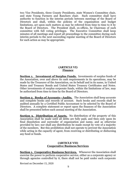two Vice Presidents, three County Presidents, state Women's Committee chair, and state Young Farmers and Ranchers chair. Such committee shall have authority to function in the interim periods between meetings of the Board of Directors and shall, within the policies of the organization and budget limitations, act upon such matters as may be referred from time to time to it by the Board of Directors. The President shall, ex-officio, be Chairman of such committee with full voting privileges. The Executive Committee shall keep minutes of all meetings and report all proceedings to the committee during such interim periods to the next succeeding regular meeting of the Board of Directors for such action as may be appropriate.

#### **(ARTICLE VI) Finance**

**Section 1. Investment of Surplus Funds.** Investments of surplus funds of the Association, over and above its cash requirements in its operations, may be made by the Treasurer of the Association, on its behalf and in its name, in United States and Treasury Bonds and United States Treasury Certificates and Notes. Other investments of surplus corporate funds, within the limitations of law, may be authorized from time to time by the Board of Directors.

**Section 2. Books of Accounts—Audits.** The Association shall keep accurate and complete books and records of account. Such books and records shall be audited annually by a Certified Public Accountant to be selected by the Board of Directors. A complete statement or report upon the finances of the Association shall be presented before each annual meeting of the Association.

**Section 3. Distribution of Assets.** No distribution of the property of this Association shall be made until all debts are fully paid, and then only upon its final dissolution and surrender of organization and name, and as otherwise provided by law; nor shall any distribution be made except by vote of a majority of the members. But this prohibition shall not operate to prevent the Association while acting in the capacity of agent, from receiving or distributing or disbursing any fund or funds.

#### **(ARTICLE VII) Cooperative Business Services**

**Section 1. Cooperative Business Services.** Whenever the Association shall exercise the power to perform cooperative service, either as a corporate agency or through agencies controlled by it, there shall not be paid under such corporate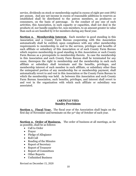service, dividends on stock or membership capital in excess of eight per cent (8%) per annum. And any net income in excess of reasonable additions to reserves as established shall be distributed to the patron members, as producers or consumers, on the basis of patronage. In the conduct of any one of such activities, this Association, in such capacity or capacities, shall not deal in the products of, nor handle supplies for, non-members, to an amount greater in value than such as are handled by it for members during any fiscal year.

**Section 2. Membership Interest.** Each member in good standing in this Association and a County Farm Bureau cooperating with this Association automatically shall be entitled, upon compliance with any other membership requirements to membership in and to the services, privileges and benefits of each affiliate or subsidiary of this Association or of such County Farm Bureau which requires membership in good standing in this Association or such County Farm Bureau as a prerequisite to membership therein. In case the membership in this Association and such County Farm Bureau shall be terminated for any cause, thereupon the right to membership and the membership in each such affiliate or subsidiary shall terminate and the benefits, privileges, and membership interest of such member in such affiliate, or subsidiary other than the unimpaired portion of any membership fee or membership payment, shall automatically revert to and vest in this Association or the County Farm Bureau in which the membership was held. As between this Association and such County Farm Bureau Association, such benefits, privileges, and interest shall revert to and vest in the organization with which such affiliate or subsidiary was associated.

#### **(ARTICLE VIII) Sundry Provisions**

**Section 1. Fiscal Year.** The fiscal year of the Association shall begin on the first day of November and terminate on the 31st day of October of each year.

**Section 2. Order of Business.** The order of business at all meetings, as far as possible, shall be as follows:

- Call to Order
- Prayer
- Pledge of Allegiance
- Roll Call
- Reading of the Minutes
- Report of Secretary
- Report of Treasurer
- Report of Committees
- Other Reports
- Unfinished Business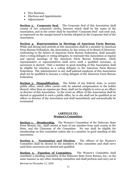- New Business
- Elections and Appointments
- Adjournment

**<u>Section 3. Corporate Seal.</u>** The Corporate Seal of this Association shall consist of two concentric circles, between which shall be the name of the Association, and in the center shall be inscribed "Corporate Seal" and such seal, as impressed on the margin hereof is hereby adopted as the Corporate Seal of the Association.

**Section 4. Representation in Meetings of American Farm Bureau.** While and during such periods as this Association shall be a member in American Farm Bureau Federation, the Association, by due action of its Board of Directors, conforming to the bylaws of American Farm Bureau Federation, shall annually elect a voting delegate or voting delegates, to represent this Association at regular and special meetings of the American Farm Bureau Federation, which representative or representatives shall serve until a qualified successor, or successors is elected. Only a member in good standing of this Association shall be eligible for selection as a voting delegate to the American Farm Bureau Federation. The Administrator or any staff salaried employee of this Association shall not be qualified to become a voting delegate of the American Farm Bureau Federation.

**Section 5. Disqualification.** The holder of any federal, state, or county public office, which office carries with its salaried compensation to the holder thereof, other than an expense per diem, shall not be eligible to serve as an officer or director of this Association. In the event an officer of this Association shall be elected or appointed to such a public office, he or she shall not be qualified as an officer or director of the Association and shall immediately and automatically be terminated.

#### **(ARTICLE IX) Women's Committee**

**Section 1. Membership.** The Women's Committee of the Delaware State Farm Bureau, Inc., shall consist at least of one member from each county in the State, and the Chairman of the Committee. No one shall be eligible for membership on this committee unless she is a member in good standing of this association.

**<u>Section 2. Nomination and Election.</u>** The officers of the Women's Committee shall be elected by the members of this committee and shall serve until their successors are elected and qualified.

**Section 3. Function of Committee.** The Women's Committee shall constitute a standing committee of the Delaware State Farm Bureau, Inc.; in the same manner as any other standing committee and shall perform and carry out is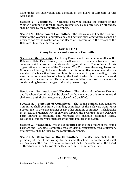work under the supervision and direction of the Board of Directors of this Association.

**Section 4. Vacancies.** Vacancies occurring among the officers of the Women's Committee through death, resignation, disqualification, or otherwise, shall be filled by the committee members.

**Section 5. Chairman of Committee.** The Chairman shall be the presiding officer of the Women's Committee and shall perform such other duties as may be provided for by the resolution of the Board of Directors or in the bylaws of the Delaware State Farm Bureau, Inc.

#### **(ARTICLE X) Young Farmers and Ranchers Committee**

**Section 1. Membership.** The Young Farmers and Ranchers Committee of the Delaware State Farm Bureau, Inc., shall consist of members from all three counties which make up the statewide organization. The officers of this organization shall consist of the Chairman, Vice Chairman, Secretary/Treasurer. No one shall be eligible for membership on this committee unless he or she is a member of a bona fide farm family or is a member in good standing of this Association, or a member of a family, the head of which is a member in good standing of this Association. This committee should be comprised of members in good standing between the ages of 18 and 40 years of age.

**Section 2. Nomination and Election.** The officers of the Young Farmers and Ranchers Committee shall be elected by the members of this committee and shall serve until their successors are elected and qualified.

**Section 3. Function of Committee.** The Young Farmers and Ranchers Committee shall constitute a standing committee of the Delaware State Farm Bureau, Inc., in the same manner as any other standing committee. It shall assist in an active, organized way in carrying forward the programs of the Delaware Farm Bureau to promote, and represent the business, economic, social, educational, and spiritual interests of the farm families in the State.

**Section 4. Vacancies.** Vacancies occurring among the officers of the Young Farmers and Ranchers Committee through death, resignation, disqualification, or otherwise, shall be filled by the committee members.

**Section 5. Chairman of the Committee.** The Chairman shall be the presiding officer of the Young Farmers and Ranchers Committee and shall perform such other duties as may be provided for by the resolution of the Board of Directors or in the bylaws of the Delaware State Farm Bureau, Inc.

#### **(ARTICLE XI)**